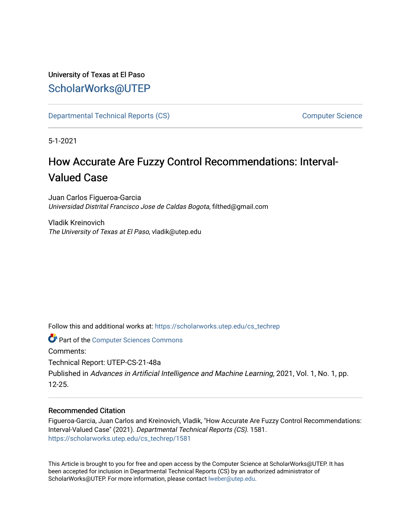# University of Texas at El Paso [ScholarWorks@UTEP](https://scholarworks.utep.edu/)

[Departmental Technical Reports \(CS\)](https://scholarworks.utep.edu/cs_techrep) [Computer Science](https://scholarworks.utep.edu/computer) 

5-1-2021

# How Accurate Are Fuzzy Control Recommendations: Interval-Valued Case

Juan Carlos Figueroa-Garcia Universidad Distrital Francisco Jose de Caldas Bogota, filthed@gmail.com

Vladik Kreinovich The University of Texas at El Paso, vladik@utep.edu

Follow this and additional works at: [https://scholarworks.utep.edu/cs\\_techrep](https://scholarworks.utep.edu/cs_techrep?utm_source=scholarworks.utep.edu%2Fcs_techrep%2F1581&utm_medium=PDF&utm_campaign=PDFCoverPages) 

**Part of the [Computer Sciences Commons](http://network.bepress.com/hgg/discipline/142?utm_source=scholarworks.utep.edu%2Fcs_techrep%2F1581&utm_medium=PDF&utm_campaign=PDFCoverPages)** 

Comments:

Technical Report: UTEP-CS-21-48a

Published in Advances in Artificial Intelligence and Machine Learning, 2021, Vol. 1, No. 1, pp. 12-25.

# Recommended Citation

Figueroa-Garcia, Juan Carlos and Kreinovich, Vladik, "How Accurate Are Fuzzy Control Recommendations: Interval-Valued Case" (2021). Departmental Technical Reports (CS). 1581. [https://scholarworks.utep.edu/cs\\_techrep/1581](https://scholarworks.utep.edu/cs_techrep/1581?utm_source=scholarworks.utep.edu%2Fcs_techrep%2F1581&utm_medium=PDF&utm_campaign=PDFCoverPages) 

This Article is brought to you for free and open access by the Computer Science at ScholarWorks@UTEP. It has been accepted for inclusion in Departmental Technical Reports (CS) by an authorized administrator of ScholarWorks@UTEP. For more information, please contact [lweber@utep.edu](mailto:lweber@utep.edu).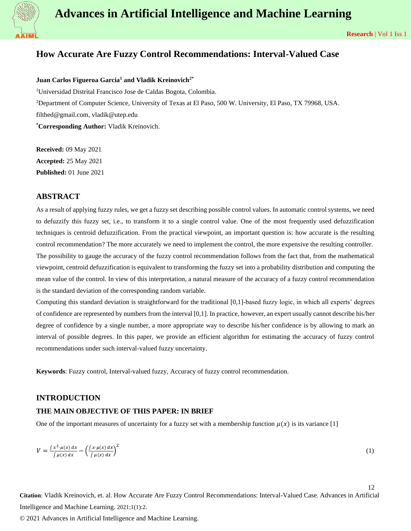

12

# **How Accurate Are Fuzzy Control Recommendations: Interval-Valued Case**

**Juan Carlos Figueroa Garcia<sup>1</sup> and Vladik Kreinovich2\***

<sup>1</sup>Universidad Distrital Francisco Jose de Caldas Bogota, Colombia. <sup>2</sup>Department of Computer Science, University of Texas at El Paso, 500 W. University, El Paso, TX 79968, USA. filthed@gmail.com, vladik@utep.edu **\*Corresponding Author:** Vladik Kreinovich.

**Received:** 09 May 2021 **Accepted:** 25 May 2021 **Published:** 01 June 2021

# **ABSTRACT**

As a result of applying fuzzy rules, we get a fuzzy set describing possible control values. In automatic control systems, we need to defuzzify this fuzzy set, i.e., to transform it to a single control value. One of the most frequently used defuzzification techniques is centroid defuzzification. From the practical viewpoint, an important question is: how accurate is the resulting control recommendation? The more accurately we need to implement the control, the more expensive the resulting controller. The possibility to gauge the accuracy of the fuzzy control recommendation follows from the fact that, from the mathematical viewpoint, centroid defuzzification is equivalent to transforming the fuzzy set into a probability distribution and computing the mean value of the control. In view of this interpretation, a natural measure of the accuracy of a fuzzy control recommendation is the standard deviation of the corresponding random variable.

Computing this standard deviation is straightforward for the traditional [0,1]-based fuzzy logic, in which all experts' degrees of confidence are represented by numbers from the interval [0,1]. In practice, however, an expert usually cannot describe his/her degree of confidence by a single number, a more appropriate way to describe his/her confidence is by allowing to mark an interval of possible degrees. In this paper, we provide an efficient algorithm for estimating the accuracy of fuzzy control recommendations under such interval-valued fuzzy uncertainty.

**Keywords**: Fuzzy control, Interval-valued fuzzy, Accuracy of fuzzy control recommendation.

#### **INTRODUCTION**

## **THE MAIN OBJECTIVE OF THIS PAPER: IN BRIEF**

One of the important measures of uncertainty for a fuzzy set with a membership function  $\mu(x)$  is its variance [1]

$$
V = \frac{\int x^2 \cdot \mu(x) dx}{\int \mu(x) dx} - \left(\frac{\int x \cdot \mu(x) dx}{\int \mu(x) dx}\right)^2
$$
\n(1)

**Citation**: Vladik Kreinovich, et. al. How Accurate Are Fuzzy Control Recommendations: Interval-Valued Case. Advances in Artificial Intelligence and Machine Learning. 2021;1(1):2.

© 2021 Advances in Artificial Intelligence and Machine Learning.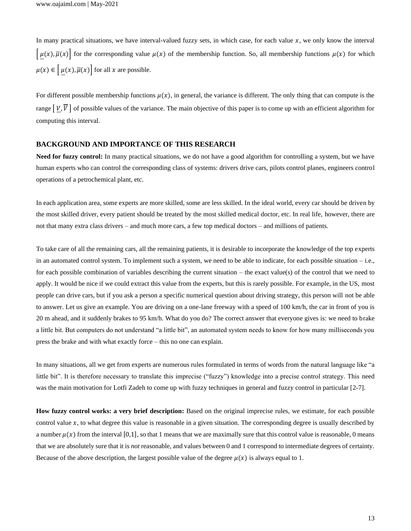In many practical situations, we have interval-valued fuzzy sets, in which case, for each value  $x$ , we only know the interval  $[\mu(x), \overline{\mu}(x)]$  for the corresponding value  $\mu(x)$  of the membership function. So, all membership functions  $\mu(x)$  for which  $\mu(x) \in \left[\mu(x), \overline{\mu}(x)\right]$  for all x are possible.

For different possible membership functions  $\mu(x)$ , in general, the variance is different. The only thing that can compute is the range  $[V, \overline{V}]$  of possible values of the variance. The main objective of this paper is to come up with an efficient algorithm for computing this interval.

#### **BACKGROUND AND IMPORTANCE OF THIS RESEARCH**

Need for fuzzy control: In many practical situations, we do not have a good algorithm for controlling a system, but we have human experts who can control the corresponding class of systems: drivers drive cars, pilots control planes, engineers control operations of a petrochemical plant, etc.

In each application area, some experts are more skilled, some are less skilled. In the ideal world, every car should be driven by the most skilled driver, every patient should be treated by the most skilled medical doctor, etc. In real life, however, there are not that many extra class drivers – and much more cars, a few top medical doctors – and millions of patients.

To take care of all the remaining cars, all the remaining patients, it is desirable to incorporate the knowledge of the top experts in an automated control system. To implement such a system, we need to be able to indicate, for each possible situation – i.e., for each possible combination of variables describing the current situation – the exact value(s) of the control that we need to apply. It would be nice if we could extract this value from the experts, but this is rarely possible. For example, in the US, most people can drive cars, but if you ask a person a specific numerical question about driving strategy, this person will not be able to answer. Let us give an example. You are driving on a one-lane freeway with a speed of 100 km/h, the car in front of you is 20 m ahead, and it suddenly brakes to 95 km/h. What do you do? The correct answer that everyone gives is: we need to brake a little bit. But computers do not understand "a little bit", an automated system needs to know for how many milliseconds you press the brake and with what exactly force – this no one can explain.

In many situations, all we get from experts are numerous rules formulated in terms of words from the natural language like "a little bit". It is therefore necessary to translate this imprecise ("fuzzy") knowledge into a precise control strategy. This need was the main motivation for Lotfi Zadeh to come up with fuzzy techniques in general and fuzzy control in particular [2-7].

**How fuzzy control works: a very brief description:** Based on the original imprecise rules, we estimate, for each possible control value  $x$ , to what degree this value is reasonable in a given situation. The corresponding degree is usually described by a number  $\mu(x)$  from the interval [0,1], so that 1 means that we are maximally sure that this control value is reasonable, 0 means that we are absolutely sure that it is *not* reasonable, and values between 0 and 1 correspond to intermediate degrees of certainty. Because of the above description, the largest possible value of the degree  $\mu(x)$  is always equal to 1.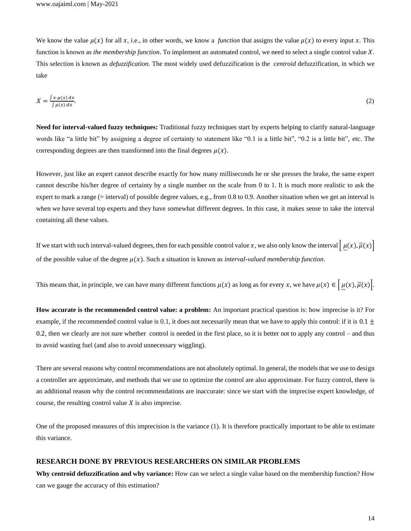We know the value  $\mu(x)$  for all x, i.e., in other words, we know a *function* that assigns the value  $\mu(x)$  to every input x. This function is known as *the membership function*. To implement an automated control, we need to select a single control value X. This selection is known as *defuzzification*. The most widely used defuzzification is the *centroid* defuzzification, in which we take

$$
X = \frac{\int x \cdot \mu(x) dx}{\int \mu(x) dx}.
$$
 (2)

**Need for interval-valued fuzzy techniques:** Traditional fuzzy techniques start by experts helping to clarify natural-language words like "a little bit" by assigning a degree of certainty to statement like "0.1 is a little bit", "0.2 is a little bit", etc. The corresponding degrees are then transformed into the final degrees  $\mu(x)$ .

However, just like an expert cannot describe exactly for how many milliseconds he or she presses the brake, the same expert cannot describe his/her degree of certainty by a single number on the scale from 0 to 1. It is much more realistic to ask the expert to mark a range (= interval) of possible degree values, e.g., from 0.8 to 0.9. Another situation when we get an interval is when we have several top experts and they have somewhat different degrees. In this case, it makes sense to take the interval containing all these values.

If we start with such interval-valued degrees, then for each possible control value x, we also only know the interval  $[\mu(x), \overline{\mu}(x)]$ of the possible value of the degree  $\mu(x)$ . Such a situation is known as *interval-valued membership function*.

This means that, in principle, we can have many different functions  $\mu(x)$  as long as for every x, we have  $\mu(x) \in [\mu(x), \overline{\mu}(x)].$ 

**How accurate is the recommended control value: a problem:** An important practical question is: how imprecise is it? For example, if the recommended control value is 0.1, it does not necessarily mean that we have to apply this control: if it is  $0.1 \pm$ 0.2, then we clearly are not sure whether control is needed in the first place, so it is better not to apply any control – and thus to avoid wasting fuel (and also to avoid unnecessary wiggling).

There are several reasons why control recommendations are not absolutely optimal. In general, the models that we use to design a controller are approximate, and methods that we use to optimize the control are also approximate. For fuzzy control, there is an additional reason why the control recommendations are inaccurate: since we start with the imprecise expert knowledge, of course, the resulting control value  $X$  is also imprecise.

One of the proposed measures of this imprecision is the variance (1). It is therefore practically important to be able to estimate this variance.

#### **RESEARCH DONE BY PREVIOUS RESEARCHERS ON SIMILAR PROBLEMS**

**Why centroid defuzzification and why variance:** How can we select a single value based on the membership function? How can we gauge the accuracy of this estimation?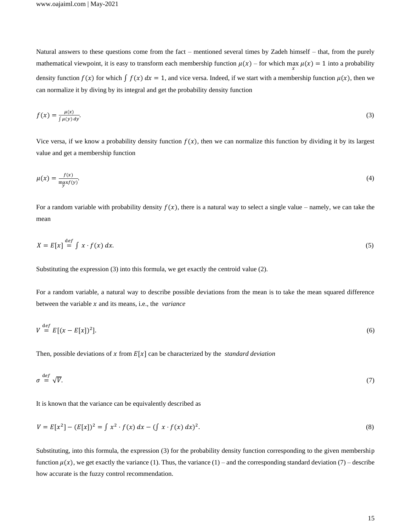Natural answers to these questions come from the fact – mentioned several times by Zadeh himself – that, from the purely mathematical viewpoint, it is easy to transform each membership function  $\mu(x)$  – for which max  $\mu(x) = 1$  into a probability density function  $f(x)$  for which  $\int f(x) dx = 1$ , and vice versa. Indeed, if we start with a membership function  $\mu(x)$ , then we can normalize it by diving by its integral and get the probability density function

$$
f(x) = \frac{\mu(x)}{\int \mu(y) \, dy}.\tag{3}
$$

Vice versa, if we know a probability density function  $f(x)$ , then we can normalize this function by dividing it by its largest value and get a membership function

$$
\mu(x) = \frac{f(x)}{\max_{y} f(y)}.\tag{4}
$$

For a random variable with probability density  $f(x)$ , there is a natural way to select a single value – namely, we can take the mean

$$
X = E[x] \stackrel{\text{def}}{=} \int x \cdot f(x) \, dx. \tag{5}
$$

Substituting the expression (3) into this formula, we get exactly the centroid value (2).

For a random variable, a natural way to describe possible deviations from the mean is to take the mean squared difference between the variable  $x$  and its means, i.e., the *variance* 

$$
V \stackrel{\text{def}}{=} E[(x - E[x])^2]. \tag{6}
$$

Then, possible deviations of x from  $E[x]$  can be characterized by the *standard deviation* 

$$
\sigma \stackrel{\text{def}}{=} \sqrt{V}.\tag{7}
$$

It is known that the variance can be equivalently described as

$$
V = E[x2] - (E[x])2 = \int x2 \cdot f(x) dx - (\int x \cdot f(x) dx)2.
$$
 (8)

Substituting, into this formula, the expression (3) for the probability density function corresponding to the given membership function  $\mu(x)$ , we get exactly the variance (1). Thus, the variance (1) – and the corresponding standard deviation (7) – describe how accurate is the fuzzy control recommendation.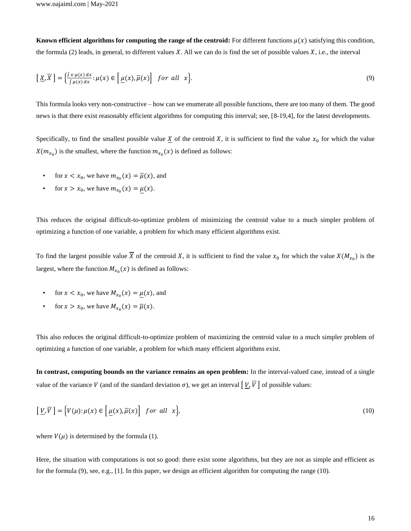**Known efficient algorithms for computing the range of the centroid:** For different functions  $\mu(x)$  satisfying this condition, the formula (2) leads, in general, to different values  $X$ . All we can do is find the set of possible values  $X$ , i.e., the interval

$$
\left[\underline{X}, \overline{X}\right] = \left\{\frac{\int x \cdot \mu(x) dx}{\int \mu(x) dx} : \mu(x) \in \left[\underline{\mu}(x), \overline{\mu}(x)\right] \text{ for all } x\right\}.
$$
\n(9)

This formula looks very non-constructive – how can we enumerate all possible functions, there are too many of them. The good news is that there exist reasonably efficient algorithms for computing this interval; see, [8-19,4], for the latest developments.

Specifically, to find the smallest possible value  $\underline{X}$  of the centroid X, it is sufficient to find the value  $x_0$  for which the value  $X(m_{x_0})$  is the smallest, where the function  $m_{x_0}(x)$  is defined as follows:

- for  $x < x_0$ , we have  $m_{x_0}(x) = \overline{\mu}(x)$ , and
- for  $x > x_0$ , we have  $m_{x_0}(x) = \underline{\mu}(x)$ .

This reduces the original difficult-to-optimize problem of minimizing the centroid value to a much simpler problem of optimizing a function of one variable, a problem for which many efficient algorithms exist.

To find the largest possible value X of the centroid X, it is sufficient to find the value  $x_0$  for which the value  $X(M_{x_0})$  is the largest, where the function  $M_{x_0}(x)$  is defined as follows:

- for  $x < x_0$ , we have  $M_{x_0}(x) = \mu(x)$ , and
- for  $x > x_0$ , we have  $M_{x_0}(x) = \overline{\mu}(x)$ .

This also reduces the original difficult-to-optimize problem of maximizing the centroid value to a much simpler problem of optimizing a function of one variable, a problem for which many efficient algorithms exist.

**In contrast, computing bounds on the variance remains an open problem:** In the interval-valued case, instead of a single value of the variance V (and of the standard deviation  $\sigma$ ), we get an interval  $[V, \overline{V}]$  of possible values:

$$
\left[\underline{V}, \overline{V}\right] = \left\{V(\mu); \mu(x) \in \left[\underline{\mu}(x), \overline{\mu}(x)\right] \text{ for all } x\right\},\tag{10}
$$

where  $V(\mu)$  is determined by the formula (1).

Here, the situation with computations is not so good: there exist some algorithms, but they are not as simple and efficient as for the formula (9), see, e.g., [1]. In this paper, we design an efficient algorithm for computing the range (10).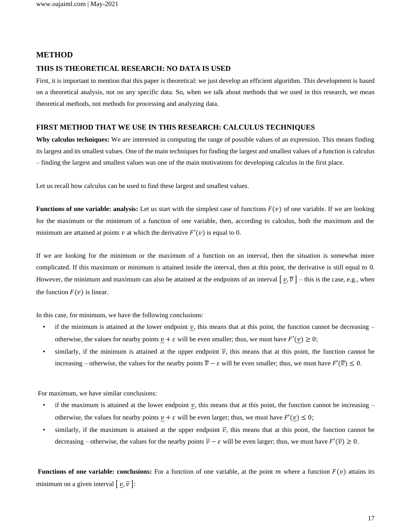# **METHOD**

#### **THIS IS THEORETICAL RESEARCH: NO DATA IS USED**

First, it is important to mention that this paper is theoretical: we just develop an efficient algorithm. This development is based on a theoretical analysis, not on any specific data. So, when we talk about methods that we used in this research, we mean theoretical methods, not methods for processing and analyzing data.

#### **FIRST METHOD THAT WE USE IN THIS RESEARCH: CALCULUS TECHNIQUES**

**Why calculus techniques:** We are interested in computing the range of possible values of an expression. This means finding its largest and its smallest values. One of the main techniques for finding the largest and smallest values of a function is calculus – finding the largest and smallest values was one of the main motivations for developing calculus in the first place.

Let us recall how calculus can be used to find these largest and smallest values.

**Functions of one variable: analysis:** Let us start with the simplest case of functions  $F(v)$  of one variable. If we are looking for the maximum or the minimum of a function of one variable, then, according to calculus, both the maximum and the minimum are attained at points  $\nu$  at which the derivative  $F'(\nu)$  is equal to 0.

If we are looking for the minimum or the maximum of a function on an interval, then the situation is somewhat more complicated. If this maximum or minimum is attained inside the interval, then at this point, the derivative is still equal to 0. However, the minimum and maximum can also be attained at the endpoints of an interval  $[\underline{v}, \overline{v}]$  – this is the case, e.g., when the function  $F(v)$  is linear.

In this case, for minimum, we have the following conclusions:

- if the minimum is attained at the lower endpoint  $\nu$ , this means that at this point, the function cannot be decreasing otherwise, the values for nearby points  $\underline{v} + \varepsilon$  will be even smaller; thus, we must have  $F'(v) \ge 0$ ;
- similarly, if the minimum is attained at the upper endpoint  $\overline{v}$ , this means that at this point, the function cannot be increasing – otherwise, the values for the nearby points  $\overline{v} - \varepsilon$  will be even smaller; thus, we must have  $F'(\overline{v}) \le 0$ .

For maximum, we have similar conclusions:

- if the maximum is attained at the lower endpoint  $\underline{v}$ , this means that at this point, the function cannot be increasing otherwise, the values for nearby points  $v + \varepsilon$  will be even larger; thus, we must have  $F'(v) \leq 0$ ;
- similarly, if the maximum is attained at the upper endpoint  $\overline{v}$ , this means that at this point, the function cannot be decreasing – otherwise, the values for the nearby points  $\overline{v}$  –  $\varepsilon$  will be even larger; thus, we must have  $F'(\overline{v}) \ge 0$ .

**Functions of one variable: conclusions:** For a function of one variable, at the point  $m$  where a function  $F(v)$  attains its minimum on a given interval  $[v, \overline{v}]$ :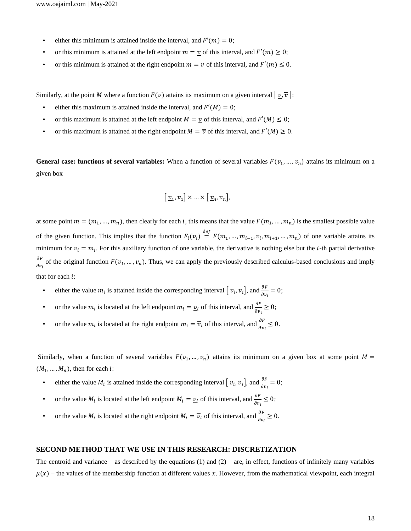- either this minimum is attained inside the interval, and  $F'(m) = 0$ ;
- or this minimum is attained at the left endpoint  $m = v$  of this interval, and  $F'(m) \ge 0$ ;
- or this minimum is attained at the right endpoint  $m = \overline{v}$  of this interval, and  $F'(m) \leq 0$ .

Similarly, at the point M where a function  $F(v)$  attains its maximum on a given interval  $[v, \overline{v}]$ :

- either this maximum is attained inside the interval, and  $F'(M) = 0$ ;
- or this maximum is attained at the left endpoint  $M = v$  of this interval, and  $F'(M) \leq 0$ ;
- or this maximum is attained at the right endpoint  $M = \overline{v}$  of this interval, and  $F'(M) \ge 0$ .

**General case: functions of several variables:** When a function of several variables  $F(v_1, ..., v_n)$  attains its minimum on a given box

$$
\left[\underline{v}_1, \overline{v}_1\right] \times \ldots \times \left[\underline{v}_n, \overline{v}_n\right],
$$

at some point  $m = (m_1, ..., m_n)$ , then clearly for each *i*, this means that the value  $F(m_1, ..., m_n)$  is the smallest possible value of the given function. This implies that the function  $F_i(v_i) \stackrel{def}{=} F(m_1, ..., m_{i-1}, v_i, m_{i+1}, ..., m_n)$  of one variable attains its minimum for  $v_i = m_i$ . For this auxiliary function of one variable, the derivative is nothing else but the *i*-th partial derivative  $\partial F$  $\frac{\partial F}{\partial v_i}$  of the original function  $F(v_1, ..., v_n)$ . Thus, we can apply the previously described calculus-based conclusions and imply that for each  $i$ :

- either the value  $m_i$  is attained inside the corresponding interval  $\left[\underline{v}_i, \overline{v}_i\right]$ , and  $\frac{\partial F}{\partial v_i} = 0$ ;
- or the value  $m_i$  is located at the left endpoint  $m_i = \underline{v}_i$  of this interval, and  $\frac{\partial F}{\partial v_i} \ge 0$ ;
- or the value  $m_i$  is located at the right endpoint  $m_i = \overline{v}_i$  of this interval, and  $\frac{\partial F}{\partial v_i} \leq 0$ .

Similarly, when a function of several variables  $F(v_1, ..., v_n)$  attains its minimum on a given box at some point  $M =$  $(M_1, \ldots, M_n)$ , then for each *i*:

- either the value  $M_i$  is attained inside the corresponding interval  $\left[\underline{v}_i, \overline{v}_i\right]$ , and  $\frac{\partial F}{\partial v_i} = 0$ ;
- or the value  $M_i$  is located at the left endpoint  $M_i = \underline{v}_i$  of this interval, and  $\frac{\partial F}{\partial v_i} \le 0$ ;
- or the value  $M_i$  is located at the right endpoint  $M_i = \overline{v}_i$  of this interval, and  $\frac{\partial F}{\partial v_i} \ge 0$ .

#### **SECOND METHOD THAT WE USE IN THIS RESEARCH: DISCRETIZATION**

The centroid and variance – as described by the equations (1) and (2) – are, in effect, functions of infinitely many variables  $\mu(x)$  – the values of the membership function at different values x. However, from the mathematical viewpoint, each integral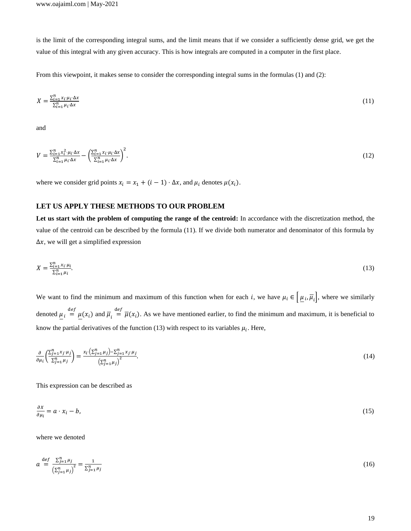is the limit of the corresponding integral sums, and the limit means that if we consider a sufficiently dense grid, we get the value of this integral with any given accuracy. This is how integrals are computed in a computer in the first place.

From this viewpoint, it makes sense to consider the corresponding integral sums in the formulas (1) and (2):

$$
X = \frac{\sum_{i=1}^{n} x_i \cdot \mu_i \cdot \Delta x}{\sum_{i=1}^{n} \mu_i \cdot \Delta x} \tag{11}
$$

and

$$
V = \frac{\sum_{i=1}^{n} x_i^2 \cdot \mu_i \cdot \Delta x}{\sum_{i=1}^{n} \mu_i \cdot \Delta x} - \left(\frac{\sum_{i=1}^{n} x_i \cdot \mu_i \cdot \Delta x}{\sum_{i=1}^{n} \mu_i \cdot \Delta x}\right)^2.
$$
\n(12)

where we consider grid points  $x_i = x_1 + (i - 1) \cdot \Delta x$ , and  $\mu_i$  denotes  $\mu(x_i)$ .

# **LET US APPLY THESE METHODS TO OUR PROBLEM**

**Let us start with the problem of computing the range of the centroid:** In accordance with the discretization method, the value of the centroid can be described by the formula (11). If we divide both numerator and denominator of this formula by  $\Delta x$ , we will get a simplified expression

$$
X = \frac{\sum_{i=1}^{n} x_i \cdot \mu_i}{\sum_{i=1}^{n} \mu_i}.
$$
\n(13)

We want to find the minimum and maximum of this function when for each i, we have  $\mu_i \in \left[ \mu_i, \overline{\mu}_i \right]$ , where we similarly denoted  $\underline{\mu}_i \stackrel{\text{def}}{=} \underline{\mu}(x_i)$  and  $\overline{\mu}_i \stackrel{\text{def}}{=} \overline{\mu}(x_i)$ . As we have mentioned earlier, to find the minimum and maximum, it is beneficial to know the partial derivatives of the function (13) with respect to its variables  $\mu_i$ . Here,

$$
\frac{\partial}{\partial \mu_i} \left( \frac{\sum_{j=1}^n x_j \mu_j}{\sum_{j=1}^n \mu_j} \right) = \frac{x_i \cdot (\sum_{j=1}^n \mu_j) - \sum_{j=1}^n x_j \mu_j}{\left(\sum_{j=1}^n \mu_j\right)^2}.
$$
\n(14)

This expression can be described as

$$
\frac{\partial x}{\partial \mu_i} = a \cdot x_i - b,\tag{15}
$$

where we denoted

$$
a \stackrel{\text{def}}{=} \frac{\sum_{j=1}^{n} \mu_j}{\left(\sum_{j=1}^{n} \mu_j\right)^2} = \frac{1}{\sum_{j=1}^{n} \mu_j}
$$
(16)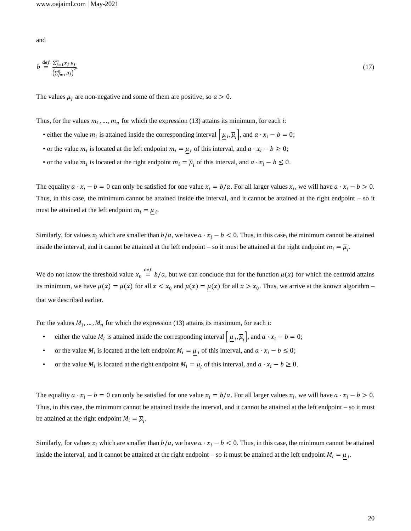and

$$
b \stackrel{\text{def}}{=} \frac{\sum_{j=1}^{n} x_j \cdot \mu_j}{\left(\sum_{j=1}^{n} \mu_j\right)^2}.\tag{17}
$$

The values  $\mu_i$  are non-negative and some of them are positive, so  $a > 0$ .

Thus, for the values  $m_1, ..., m_n$  for which the expression (13) attains its minimum, for each *i*:

- either the value  $m_i$  is attained inside the corresponding interval  $\left[ \mu_i, \overline{\mu}_i \right]$ , and  $a \cdot x_i b = 0$ ;
- or the value  $m_i$  is located at the left endpoint  $m_i = \mu_i$  of this interval, and  $a \cdot x_i b \ge 0$ ;
- or the value  $m_i$  is located at the right endpoint  $m_i = \overline{\mu}_i$  of this interval, and  $a \cdot x_i b \le 0$ .

The equality  $a \cdot x_i - b = 0$  can only be satisfied for one value  $x_i = b/a$ . For all larger values  $x_i$ , we will have  $a \cdot x_i - b > 0$ . Thus, in this case, the minimum cannot be attained inside the interval, and it cannot be attained at the right endpoint – so it must be attained at the left endpoint  $m_i = \mu_i$ .

Similarly, for values  $x_i$  which are smaller than  $b/a$ , we have  $a \cdot x_i - b < 0$ . Thus, in this case, the minimum cannot be attained inside the interval, and it cannot be attained at the left endpoint – so it must be attained at the right endpoint  $m_i = \overline{\mu}_i$ .

We do not know the threshold value  $x_0 \stackrel{\text{def}}{=} b/a$ , but we can conclude that for the function  $\mu(x)$  for which the centroid attains its minimum, we have  $\mu(x) = \overline{\mu}(x)$  for all  $x < x_0$  and  $\mu(x) = \mu(x)$  for all  $x > x_0$ . Thus, we arrive at the known algorithm – that we described earlier.

For the values  $M_1, \ldots, M_n$  for which the expression (13) attains its maximum, for each *i*:

- either the value  $M_i$  is attained inside the corresponding interval  $\left[ \mu_i, \overline{\mu}_i \right]$ , and  $a \cdot x_i b = 0$ ;
- or the value  $M_i$  is located at the left endpoint  $M_i = \mu_i$  of this interval, and  $a \cdot x_i b \le 0$ ;
- or the value  $M_i$  is located at the right endpoint  $M_i = \overline{\mu}_i$  of this interval, and  $a \cdot x_i b \ge 0$ .

The equality  $a \cdot x_i - b = 0$  can only be satisfied for one value  $x_i = b/a$ . For all larger values  $x_i$ , we will have  $a \cdot x_i - b > 0$ . Thus, in this case, the minimum cannot be attained inside the interval, and it cannot be attained at the left endpoint – so it must be attained at the right endpoint  $M_i = \overline{\mu}_i$ .

Similarly, for values  $x_i$  which are smaller than  $b/a$ , we have  $a \cdot x_i - b < 0$ . Thus, in this case, the minimum cannot be attained inside the interval, and it cannot be attained at the right endpoint – so it must be attained at the left endpoint  $M_i = \mu_i$ .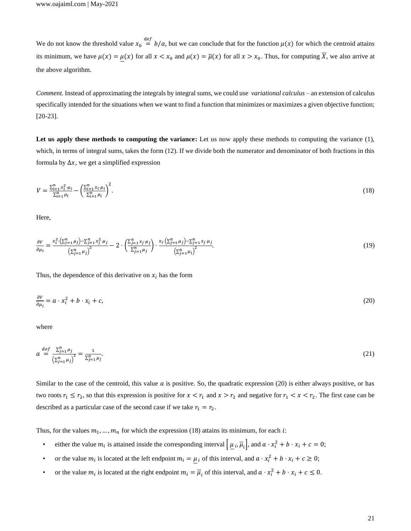We do not know the threshold value  $x_0 \stackrel{\text{def}}{=} b/a$ , but we can conclude that for the function  $\mu(x)$  for which the centroid attains its minimum, we have  $\mu(x) = \mu(x)$  for all  $x < x_0$  and  $\mu(x) = \overline{\mu}(x)$  for all  $x > x_0$ . Thus, for computing X, we also arrive at the above algorithm.

*Comment.* Instead of approximating the integrals by integral sums, we could use *variational calculus* – an extension of calculus specifically intended for the situations when we want to find a function that minimizes or maximizes a given objective function; [20-23].

**Let us apply these methods to computing the variance:** Let us now apply these methods to computing the variance (1), which, in terms of integral sums, takes the form (12). If we divide both the numerator and denominator of both fractions in this formula by  $\Delta x$ , we get a simplified expression

$$
V = \frac{\sum_{i=1}^{n} x_i^2 \cdot \mu_i}{\sum_{i=1}^{n} \mu_i} - \left(\frac{\sum_{i=1}^{n} x_i \cdot \mu_i}{\sum_{i=1}^{n} \mu_i}\right)^2.
$$
\n(18)

Here,

$$
\frac{\partial v}{\partial \mu_i} = \frac{x_i^2 \cdot (\sum_{j=1}^n \mu_j) - \sum_{j=1}^n x_j^2 \cdot \mu_j}{\left(\sum_{j=1}^n \mu_j\right)^2} - 2 \cdot \left(\frac{\sum_{j=1}^n x_j \cdot \mu_j}{\sum_{j=1}^n \mu_j}\right) \cdot \frac{x_i \cdot (\sum_{j=1}^n \mu_j) - \sum_{j=1}^n x_j \cdot \mu_j}{\left(\sum_{j=1}^n \mu_j\right)^2}.
$$
\n(19)

Thus, the dependence of this derivative on  $x_i$  has the form

$$
\frac{\partial v}{\partial \mu_i} = a \cdot x_i^2 + b \cdot x_i + c,\tag{20}
$$

where

$$
a \stackrel{\text{def}}{=} \frac{\sum_{j=1}^{n} \mu_j}{\left(\sum_{j=1}^{n} \mu_j\right)^2} = \frac{1}{\sum_{j=1}^{n} \mu_j}.\tag{21}
$$

Similar to the case of the centroid, this value  $\alpha$  is positive. So, the quadratic expression (20) is either always positive, or has two roots  $r_1 \le r_2$ , so that this expression is positive for  $x < r_1$  and  $x > r_2$  and negative for  $r_1 < x < r_2$ . The first case can be described as a particular case of the second case if we take  $r_1 = r_2$ .

Thus, for the values  $m_1, ..., m_n$  for which the expression (18) attains its minimum, for each *i*:

- either the value  $m_i$  is attained inside the corresponding interval  $\left[ \mu_i, \overline{\mu}_i \right]$ , and  $a \cdot x_i^2 + b \cdot x_i + c = 0$ ;
- or the value  $m_i$  is located at the left endpoint  $m_i = \mu_i$  of this interval, and  $a \cdot x_i^2 + b \cdot x_i + c \ge 0$ ;
- or the value  $m_i$  is located at the right endpoint  $m_i = \overline{\mu}_i$  of this interval, and  $a \cdot x_i^2 + b \cdot x_i + c \le 0$ .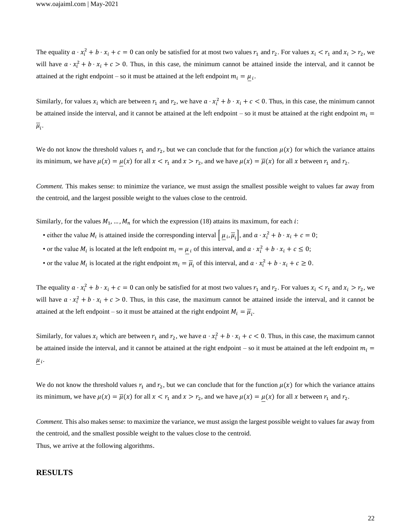The equality  $a \cdot x_i^2 + b \cdot x_i + c = 0$  can only be satisfied for at most two values  $r_1$  and  $r_2$ . For values  $x_i < r_1$  and  $x_i > r_2$ , we will have  $a \cdot x_i^2 + b \cdot x_i + c > 0$ . Thus, in this case, the minimum cannot be attained inside the interval, and it cannot be attained at the right endpoint – so it must be attained at the left endpoint  $m_i = \mu_i$ .

Similarly, for values  $x_i$  which are between  $r_1$  and  $r_2$ , we have  $a \cdot x_i^2 + b \cdot x_i + c < 0$ . Thus, in this case, the minimum cannot be attained inside the interval, and it cannot be attained at the left endpoint – so it must be attained at the right endpoint  $m_i =$  $\overline{\mu}_i$ .

We do not know the threshold values  $r_1$  and  $r_2$ , but we can conclude that for the function  $\mu(x)$  for which the variance attains its minimum, we have  $\mu(x) = \mu(x)$  for all  $x < r_1$  and  $x > r_2$ , and we have  $\mu(x) = \overline{\mu}(x)$  for all x between  $r_1$  and  $r_2$ .

*Comment.* This makes sense: to minimize the variance, we must assign the smallest possible weight to values far away from the centroid, and the largest possible weight to the values close to the centroid.

Similarly, for the values  $M_1, \ldots, M_n$  for which the expression (18) attains its maximum, for each *i*:

- either the value  $M_i$  is attained inside the corresponding interval  $\mu_i$ ,  $\overline{\mu}_i$ , and  $a \cdot x_i^2 + b \cdot x_i + c = 0$ ;
- or the value  $M_i$  is located at the left endpoint  $m_i = \mu_i$  of this interval, and  $a \cdot x_i^2 + b \cdot x_i + c \le 0$ ;
- or the value  $M_i$  is located at the right endpoint  $m_i = \overline{\mu}_i$  of this interval, and  $a \cdot x_i^2 + b \cdot x_i + c \ge 0$ .

The equality  $a \cdot x_i^2 + b \cdot x_i + c = 0$  can only be satisfied for at most two values  $r_1$  and  $r_2$ . For values  $x_i < r_1$  and  $x_i > r_2$ , we will have  $a \cdot x_i^2 + b \cdot x_i + c > 0$ . Thus, in this case, the maximum cannot be attained inside the interval, and it cannot be attained at the left endpoint – so it must be attained at the right endpoint  $M_i = \overline{\mu}_i$ .

Similarly, for values  $x_i$  which are between  $r_1$  and  $r_2$ , we have  $a \cdot x_i^2 + b \cdot x_i + c < 0$ . Thus, in this case, the maximum cannot be attained inside the interval, and it cannot be attained at the right endpoint – so it must be attained at the left endpoint  $m_i =$  $\mu_i$ .

We do not know the threshold values  $r_1$  and  $r_2$ , but we can conclude that for the function  $\mu(x)$  for which the variance attains its minimum, we have  $\mu(x) = \overline{\mu}(x)$  for all  $x < r_1$  and  $x > r_2$ , and we have  $\mu(x) = \mu(x)$  for all x between  $r_1$  and  $r_2$ .

*Comment.* This also makes sense: to maximize the variance, we must assign the largest possible weight to values far away from the centroid, and the smallest possible weight to the values close to the centroid.

Thus, we arrive at the following algorithms.

#### **RESULTS**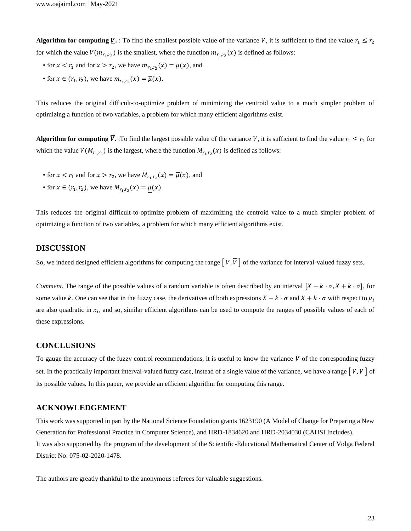**Algorithm for computing <b>V**. : To find the smallest possible value of the variance V, it is sufficient to find the value  $r_1 \le r_2$ for which the value  $V(m_{r_1,r_2})$  is the smallest, where the function  $m_{r_1,r_2}(x)$  is defined as follows:

- for  $x < r_1$  and for  $x > r_2$ , we have  $m_{r_1,r_2}(x) = \mu(x)$ , and
- for  $x \in (r_1, r_2)$ , we have  $m_{r_1, r_2}(x) = \overline{\mu}(x)$ .

This reduces the original difficult-to-optimize problem of minimizing the centroid value to a much simpler problem of optimizing a function of two variables, a problem for which many efficient algorithms exist.

**Algorithm for computing <b>V**. To find the largest possible value of the variance V, it is sufficient to find the value  $r_1 \le r_2$  for which the value  $V(M_{r_1,r_2})$  is the largest, where the function  $M_{r_1,r_2}(x)$  is defined as follows:

- for  $x < r_1$  and for  $x > r_2$ , we have  $M_{r_1, r_2}(x) = \overline{\mu}(x)$ , and
- for  $x \in (r_1, r_2)$ , we have  $M_{r_1, r_2}(x) = \mu(x)$ .

This reduces the original difficult-to-optimize problem of maximizing the centroid value to a much simpler problem of optimizing a function of two variables, a problem for which many efficient algorithms exist.

# **DISCUSSION**

So, we indeed designed efficient algorithms for computing the range  $[V, \overline{V}]$  of the variance for interval-valued fuzzy sets.

*Comment.* The range of the possible values of a random variable is often described by an interval  $[X - k \cdot \sigma, X + k \cdot \sigma]$ , for some value k. One can see that in the fuzzy case, the derivatives of both expressions  $X - k \cdot \sigma$  and  $X + k \cdot \sigma$  with respect to  $\mu_I$ are also quadratic in  $x_i$ , and so, similar efficient algorithms can be used to compute the ranges of possible values of each of these expressions.

## **CONCLUSIONS**

To gauge the accuracy of the fuzzy control recommendations, it is useful to know the variance  $V$  of the corresponding fuzzy set. In the practically important interval-valued fuzzy case, instead of a single value of the variance, we have a range  $[V, \overline{V}]$  of its possible values. In this paper, we provide an efficient algorithm for computing this range.

# **ACKNOWLEDGEMENT**

This work was supported in part by the National Science Foundation grants 1623190 (A Model of Change for Preparing a New Generation for Professional Practice in Computer Science), and HRD-1834620 and HRD-2034030 (CAHSI Includes). It was also supported by the program of the development of the Scientific-Educational Mathematical Center of Volga Federal District No. 075-02-2020-1478.

The authors are greatly thankful to the anonymous referees for valuable suggestions.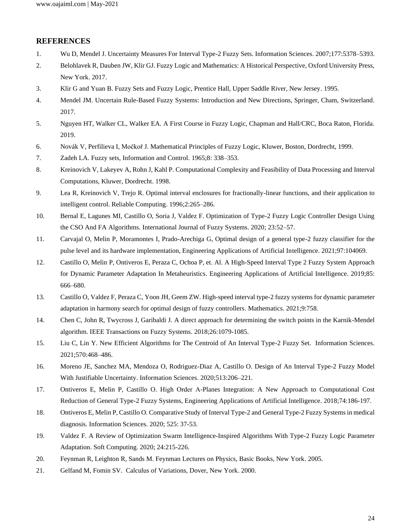# **REFERENCES**

- 1. Wu D, Mendel J. Uncertainty Measures For Interval Type-2 Fuzzy Sets. Information Sciences. 2007;177:5378–5393.
- 2. Belohlavek R, Dauben JW, Klir GJ. Fuzzy Logic and Mathematics: A Historical Perspective, Oxford University Press, New York. 2017.
- 3. Klir G and Yuan B. Fuzzy Sets and Fuzzy Logic, Prentice Hall, Upper Saddle River, New Jersey. 1995.
- 4. Mendel JM. Uncertain Rule-Based Fuzzy Systems: Introduction and New Directions, Springer, Cham, Switzerland. 2017.
- 5. Nguyen HT, Walker CL, Walker EA. A First Course in Fuzzy Logic, Chapman and Hall/CRC, Boca Raton, Florida. 2019.
- 6. Novák V, Perfilieva I, Močkoř J. Mathematical Principles of Fuzzy Logic, Kluwer, Boston, Dordrecht, 1999.
- 7. Zadeh LA. Fuzzy sets, Information and Control. 1965;8: 338–353.
- 8. Kreinovich V, Lakeyev A, Rohn J, Kahl P. Computational Complexity and Feasibility of Data Processing and Interval Computations, Kluwer, Dordrecht. 1998.
- 9. Lea R, Kreinovich V, Trejo R. Optimal interval enclosures for fractionally-linear functions, and their application to intelligent control. Reliable Computing. 1996;2:265–286.
- 10. Bernal E, Lagunes MI, Castillo O, Soria J, Valdez F. Optimization of Type-2 Fuzzy Logic Controller Design Using the CSO And FA Algorithms. International Journal of Fuzzy Systems. 2020; 23:52–57.
- 11. Carvajal O, Melin P, Moramontes I, Prado-Arechiga G, Optimal design of a general type-2 fuzzy classifier for the pulse level and its hardware implementation, Engineering Applications of Artificial Intelligence. 2021;97:104069.
- 12. Castillo O, Melin P, Ontiveros E, Peraza C, Ochoa P, et. Al. A High-Speed Interval Type 2 Fuzzy System Approach for Dynamic Parameter Adaptation In Metaheuristics. Engineering Applications of Artificial Intelligence. 2019;85: 666–680.
- 13. Castillo O, Valdez F, Peraza C, Yoon JH, Geem ZW. High-speed interval type-2 fuzzy systems for dynamic parameter adaptation in harmony search for optimal design of fuzzy controllers. Mathematics. 2021;9:758.
- 14. Chen C, John R, Twycross J, Garibaldi J. A direct approach for determining the switch points in the Karnik-Mendel algorithm. IEEE Transactions on Fuzzy Systems. 2018;26:1079-1085.
- 15. Liu C, Lin Y. New Efficient Algorithms for The Centroid of An Interval Type-2 Fuzzy Set. Information Sciences. 2021;570:468–486.
- 16. Moreno JE, Sanchez MA, Mendoza O, Rodriguez-Diaz A, Castillo O. Design of An Interval Type-2 Fuzzy Model With Justifiable Uncertainty. Information Sciences. 2020;513:206–221.
- 17. Ontiveros E, Melin P, Castillo O. High Order Α-Planes Integration: A New Approach to Computational Cost Reduction of General Type-2 Fuzzy Systems, Engineering Applications of Artificial Intelligence. 2018;74:186-197.
- 18. Ontiveros E, Melin P, Castillo O. Comparative Study of Interval Type-2 and General Type-2 Fuzzy Systems in medical diagnosis. Information Sciences. 2020; 525: 37-53.
- 19. Valdez F. A Review of Optimization Swarm Intelligence-Inspired Algorithms With Type-2 Fuzzy Logic Parameter Adaptation. Soft Computing. 2020; 24:215-226.
- 20. Feynman R, Leighton R, Sands M. Feynman Lectures on Physics, Basic Books, New York. 2005.
- 21. Gelfand M, Fomin SV. Calculus of Variations, Dover, New York. 2000.